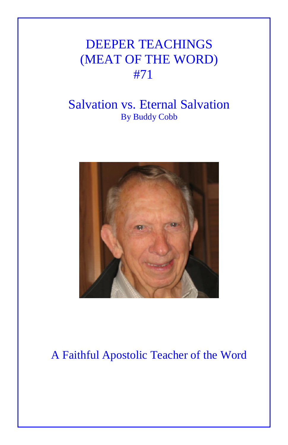## DEEPER TEACHINGS (MEAT OF THE WORD) #71

## Salvation vs. Eternal Salvation By Buddy Cobb



## A Faithful Apostolic Teacher of the Word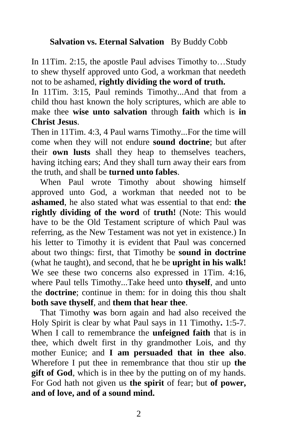## **Salvation vs. Eternal Salvation** By Buddy Cobb

In 11Tim. 2:15, the apostle Paul advises Timothy to…Study to shew thyself approved unto God, a workman that needeth not to be ashamed, **rightly dividing the word of truth.** 

In 11Tim. 3:15, Paul reminds Timothy...And that from a child thou hast known the holy scriptures, which are able to make thee **wise unto salvation** through **faith** which is **in Christ Jesus**.

Then in 11Tim. 4:3, 4 Paul warns Timothy...For the time will come when they will not endure **sound doctrine**; but after their **own lusts** shall they heap to themselves teachers, having itching ears; And they shall turn away their ears from the truth, and shall be **turned unto fables**.

 When Paul wrote Timothy about showing himself approved unto God, a workman that needed not to be **ashamed**, he also stated what was essential to that end: **the rightly dividing of the word** of **truth!** (Note: This would have to be the Old Testament scripture of which Paul was referring, as the New Testament was not yet in existence.) In his letter to Timothy it is evident that Paul was concerned about two things: first, that Timothy be **sound in doctrine**  (what he taught), and second, that he be **upright in his walk!** We see these two concerns also expressed in 1Tim. 4:16, where Paul tells Timothy...Take heed unto **thyself**, and unto the **doctrine**; continue in them: for in doing this thou shalt **both save thyself**, and **them that hear thee**.

 That Timothy **w**as born again and had also received the Holy Spirit is clear by what Paul says in 11 Timothy**.** 1:5-7. When I call to remembrance the **unfeigned faith** that is in thee, which dwelt first in thy grandmother Lois, and thy mother Eunice; and **I am persuaded that in thee also**. Wherefore I put thee in remembrance that thou stir up **the gift of God**, which is in thee by the putting on of my hands. For God hath not given us **the spirit** of fear; but **of power, and of love, and of a sound mind.**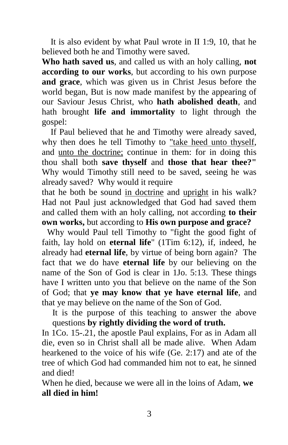It is also evident by what Paul wrote in II 1:9, 10, that he believed both he and Timothy were saved.

**Who hath saved us**, and called us with an holy calling, **not according to our works**, but according to his own purpose **and grace**, which was given us in Christ Jesus before the world began, But is now made manifest by the appearing of our Saviour Jesus Christ, who **hath abolished death**, and hath brought **life and immortality** to light through the gospel:

 If Paul believed that he and Timothy were already saved, why then does he tell Timothy to "take heed unto thyself, and unto the doctrine; continue in them: for in doing this thou shall both **save thyself** and **those that hear thee?"**  Why would Timothy still need to be saved, seeing he was already saved? Why would it require

that he both be sound in doctrine and upright in his walk? Had not Paul just acknowledged that God had saved them and called them with an holy calling, not according **to their own works,** but according to **His own purpose and grace?**

Why would Paul tell Timothy to "fight the good fight of faith, lay hold on **eternal life**" (1Tim 6:12), if, indeed, he already had **eternal life**, by virtue of being born again? The fact that we do have **eternal life** by our believing on the name of the Son of God is clear in 1Jo. 5:13. These things have I written unto you that believe on the name of the Son of God; that **ye may know that ye have eternal life**, and that ye may believe on the name of the Son of God.

It is the purpose of this teaching to answer the above questions **by rightly dividing the word of truth.**

In 1Co. 15-.21, the apostle Paul explains, For as in Adam all die, even so in Christ shall all be made alive. When Adam hearkened to the voice of his wife (Ge. 2:17) and ate of the tree of which God had commanded him not to eat, he sinned and died!

When he died, because we were all in the loins of Adam, **we all died in him!**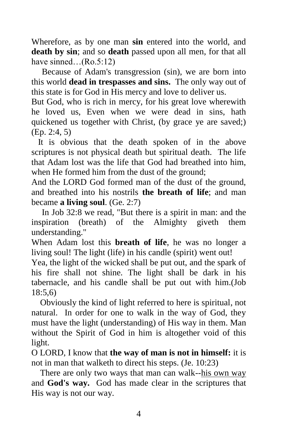Wherefore, as by one man **sin** entered into the world, and **death by sin**; and so **death** passed upon all men, for that all have sinned…(Ro.5:12)

Because of Adam's transgression (sin), we are born into this world **dead in trespasses and sins.** The only way out of this state is for God in His mercy and love to deliver us.

But God, who is rich in mercy, for his great love wherewith he loved us, Even when we were dead in sins, hath quickened us together with Christ, (by grace ye are saved;) (Ep. 2:4, 5)

 It is obvious that the death spoken of in the above scriptures is not physical death but spiritual death. The life that Adam lost was the life that God had breathed into him, when He formed him from the dust of the ground;

And the LORD God formed man of the dust of the ground, and breathed into his nostrils **the breath of life**; and man became **a living soul**. (Ge. 2:7)

In Job 32:8 we read, "But there is a spirit in man: and the inspiration (breath) of the Almighty giveth them understanding."

When Adam lost this **breath of life**, he was no longer a living soul! The light (life) in his candle (spirit) went out!

Yea, the light of the wicked shall be put out, and the spark of his fire shall not shine. The light shall be dark in his tabernacle, and his candle shall be put out with him.(Job 18:5,6)

 Obviously the kind of light referred to here is spiritual, not natural. In order for one to walk in the way of God, they must have the light (understanding) of His way in them. Man without the Spirit of God in him is altogether void of this light.

O LORD, I know that **the way of man is not in himself:** it is not in man that walketh to direct his steps. (Je. 10:23)

 There are only two ways that man can walk--his own way and **God's way.** God has made clear in the scriptures that His way is not our way.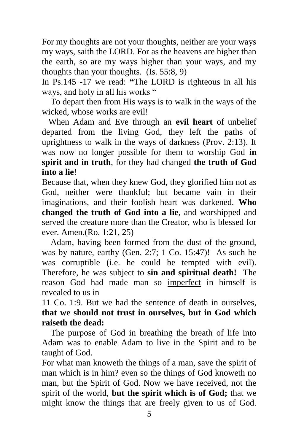For my thoughts are not your thoughts, neither are your ways my ways, saith the LORD. For as the heavens are higher than the earth, so are my ways higher than your ways, and my thoughts than your thoughts. (Is. 55:8, 9)

In Ps.145 -17 we read: **"**The LORD is righteous in all his ways, and holy in all his works "

 To depart then from His ways is to walk in the ways of the wicked, whose works are evil!

 When Adam and Eve through an **evil heart** of unbelief departed from the living God, they left the paths of uprightness to walk in the ways of darkness (Prov. 2:13). It was now no longer possible for them to worship God **in spirit and in truth**, for they had changed **the truth of God into a lie**!

Because that, when they knew God, they glorified him not as God, neither were thankful; but became vain in their imaginations, and their foolish heart was darkened. **Who changed the truth of God into a lie**, and worshipped and served the creature more than the Creator, who is blessed for ever. Amen.(Ro. 1:21, 25)

 Adam, having been formed from the dust of the ground, was by nature, earthy (Gen. 2:7; 1 Co. 15:47)! As such he was corruptible (i.e. he could be tempted with evil). Therefore, he was subject to **sin and spiritual death!** The reason God had made man so imperfect in himself is revealed to us in

11 Co. 1:9. But we had the sentence of death in ourselves, **that we should not trust in ourselves, but in God which raiseth the dead:** 

The purpose of God in breathing the breath of life into Adam was to enable Adam to live in the Spirit and to be taught of God.

For what man knoweth the things of a man, save the spirit of man which is in him? even so the things of God knoweth no man, but the Spirit of God. Now we have received, not the spirit of the world, **but the spirit which is of God;** that we might know the things that are freely given to us of God.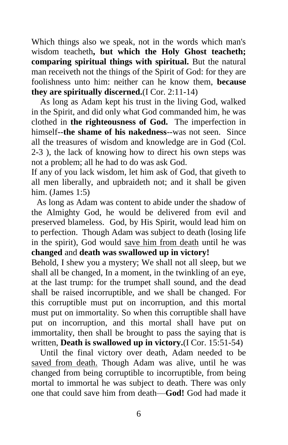Which things also we speak, not in the words which man's wisdom teacheth**, but which the Holy Ghost teacheth; comparing spiritual things with spiritual.** But the natural man receiveth not the things of the Spirit of God: for they are foolishness unto him: neither can he know them, **because they are spiritually discerned.**(I Cor. 2:11-14)

 As long as Adam kept his trust in the living God, walked in the Spirit, and did only what God commanded him, he was clothed in **the righteousness of God.** The imperfection in himself--**the shame of his nakedness**--was not seen. Since all the treasures of wisdom and knowledge are in God (Col. 2-3 ), the lack of knowing how to direct his own steps was not a problem; all he had to do was ask God.

If any of you lack wisdom, let him ask of God, that giveth to all men liberally, and upbraideth not; and it shall be given him. (James 1:5)

As long as Adam was content to abide under the shadow of the Almighty God, he would be delivered from evil and preserved blameless. God, by His Spirit, would lead him on to perfection. Though Adam was subject to death (losing life in the spirit), God would save him from death until he was **changed** and **death was swallowed up in victory!**

Behold, I shew you a mystery; We shall not all sleep, but we shall all be changed, In a moment, in the twinkling of an eye, at the last trump: for the trumpet shall sound, and the dead shall be raised incorruptible, and we shall be changed. For this corruptible must put on incorruption, and this mortal must put on immortality. So when this corruptible shall have put on incorruption, and this mortal shall have put on immortality, then shall be brought to pass the saying that is written, **Death is swallowed up in victory.**(I Cor. 15:51-54)

 Until the final victory over death, Adam needed to be saved from death. Though Adam was alive, until he was changed from being corruptible to incorruptible, from being mortal to immortal he was subject to death. There was only one that could save him from death—**God!** God had made it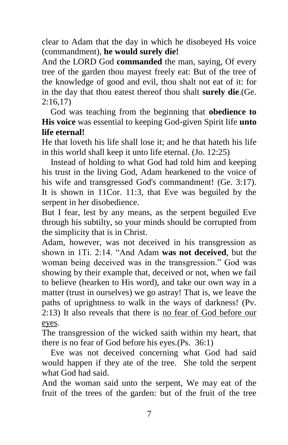clear to Adam that the day in which he disobeyed Hs voice (commandment), **he would surely die!**

And the LORD God **commanded** the man, saying, Of every tree of the garden thou mayest freely eat: But of the tree of the knowledge of good and evil, thou shalt not eat of it: for in the day that thou eatest thereof thou shalt **surely die**.(Ge. 2:16,17)

 God was teaching from the beginning that **obedience to His voice** was essential to keeping God-given Spirit life **unto life eternal!**

He that loveth his life shall lose it; and he that hateth his life in this world shall keep it unto life eternal. (Jo. 12:25)

 Instead of holding to what God had told him and keeping his trust in the living God, Adam hearkened to the voice of his wife and transgressed God's commandment! (Ge. 3:17). It is shown in 11Cor. 11:3, that Eve was beguiled by the serpent in her disobedience.

But I fear, lest by any means, as the serpent beguiled Eve through his subtilty, so your minds should be corrupted from the simplicity that is in Christ.

Adam, however, was not deceived in his transgression as shown in 1Ti. 2:14. "And Adam **was not deceived**, but the woman being deceived was in the transgression." God was showing by their example that, deceived or not, when we fail to believe (hearken to His word), and take our own way in a matter (trust in ourselves) we go astray! That is, we leave the paths of uprightness to walk in the ways of darkness! (Pv. 2:13) It also reveals that there is no fear of God before our eyes.

The transgression of the wicked saith within my heart, that there is no fear of God before his eyes.(Ps. 36:1)

 Eve was not deceived concerning what God had said would happen if they ate of the tree. She told the serpent what God had said.

And the woman said unto the serpent, We may eat of the fruit of the trees of the garden: but of the fruit of the tree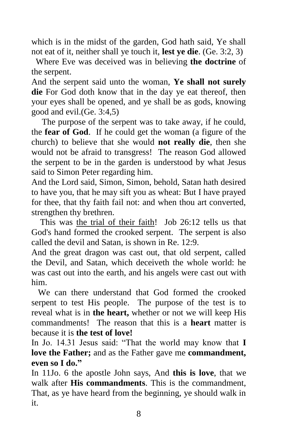which is in the midst of the garden, God hath said, Ye shall not eat of it, neither shall ye touch it, **lest ye die**. (Ge. 3:2, 3)

 Where Eve was deceived was in believing **the doctrine** of the serpent.

And the serpent said unto the woman, **Ye shall not surely die** For God doth know that in the day ye eat thereof, then your eyes shall be opened, and ye shall be as gods, knowing good and evil.(Ge. 3:4,5)

The purpose of the serpent was to take away, if he could, the **fear of God**. If he could get the woman (a figure of the church) to believe that she would **not really die**, then she would not be afraid to transgress! The reason God allowed the serpent to be in the garden is understood by what Jesus said to Simon Peter regarding him.

And the Lord said, Simon, Simon, behold, Satan hath desired to have you, that he may sift you as wheat: But I have prayed for thee, that thy faith fail not: and when thou art converted, strengthen thy brethren.

 This was the trial of their faith! Job 26:12 tells us that God's hand formed the crooked serpent. The serpent is also called the devil and Satan, is shown in Re. 12:9.

And the great dragon was cast out, that old serpent, called the Devil, and Satan, which deceiveth the whole world: he was cast out into the earth, and his angels were cast out with him.

 We can there understand that God formed the crooked serpent to test His people. The purpose of the test is to reveal what is in **the heart,** whether or not we will keep His commandments! The reason that this is a **heart** matter is because it is **the test of love!**

In Jo. 14.31 Jesus said: "That the world may know that **I love the Father;** and as the Father gave me **commandment, even so I do."**

In 11Jo. 6 the apostle John says, And **this is love**, that we walk after **His commandments**. This is the commandment, That, as ye have heard from the beginning, ye should walk in it.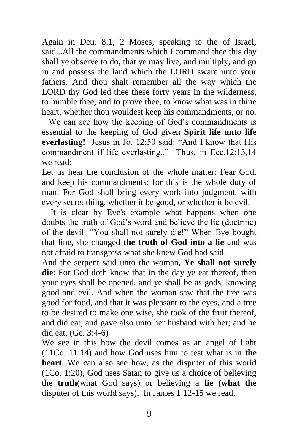Again in Deu. 8:1, 2 Moses, speaking to the of Israel, said...All the commandments which I command thee this day shall ye observe to do, that ye may live, and multiply, and go in and possess the land which the LORD sware unto your fathers. And thou shalt remember all the way which the LORD thy God led thee these forty years in the wilderness, to humble thee, and to prove thee, to know what was in thine heart, whether thou wouldest keep his commandments, or no.

 We can see how the keeping of God's commandments is essential to the keeping of God given **Spirit life unto life everlasting!** Jesus in Jo. 12:50 said: "And I know that His commandment if life everlasting.." Thus, in Ecc.12:13,14 we read:

Let us hear the conclusion of the whole matter: Fear God, and keep his commandments: for this is the whole duty of man. For God shall bring every work into judgment, with every secret thing, whether it be good, or whether it be evil.

 It is clear by Eve's example what happens when one doubts the truth of God's word and believe the lie (doctrine) of the devil: "You shall not surely die!" When Eve bought that line, she changed **the truth of God into a lie** and was not afraid to transgress what she knew God had said.

And the serpent said unto the woman, **Ye shall not surely die**: For God doth know that in the day ye eat thereof, then your eyes shall be opened, and ye shall be as gods, knowing good and evil. And when the woman saw that the tree was good for food, and that it was pleasant to the eyes, and a tree to be desired to make one wise, she took of the fruit thereof, and did eat, and gave also unto her husband with her; and he did eat. (Ge. 3:4-6)

We see in this how the devil comes as an angel of light (11Co. 11:14) and how God uses him to test what is in **the heart**. We can also see how, as the disputer of this world (1Co. 1:20), God uses Satan to give us a choice of believing the **truth**(what God says) or believing a **lie (what the**  disputer of this world says). In James 1:12-15 we read,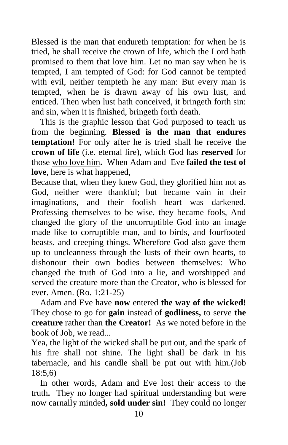Blessed is the man that endureth temptation: for when he is tried, he shall receive the crown of life, which the Lord hath promised to them that love him. Let no man say when he is tempted, I am tempted of God: for God cannot be tempted with evil, neither tempteth he any man: But every man is tempted, when he is drawn away of his own lust, and enticed. Then when lust hath conceived, it bringeth forth sin: and sin, when it is finished, bringeth forth death.

 This is the graphic lesson that God purposed to teach us from the beginning. **Blessed is the man that endures temptation!** For only after he is tried shall he receive the **crown of life** (i.e. eternal lire), which God has **reserved** for those who love him**.** When Adam andEve **failed the test of love**, here is what happened,

Because that, when they knew God, they glorified him not as God, neither were thankful; but became vain in their imaginations, and their foolish heart was darkened. Professing themselves to be wise, they became fools, And changed the glory of the uncorruptible God into an image made like to corruptible man, and to birds, and fourfooted beasts, and creeping things. Wherefore God also gave them up to uncleanness through the lusts of their own hearts, to dishonour their own bodies between themselves: Who changed the truth of God into a lie, and worshipped and served the creature more than the Creator, who is blessed for ever. Amen. (Ro. 1:21-25)

Adam and Eve have **now** entered **the way of the wicked!**  They chose to go for **gain** instead of **godliness,** to serve **the creature** rather than **the Creator!** As we noted before in the book of Job, we read...

Yea, the light of the wicked shall be put out, and the spark of his fire shall not shine. The light shall be dark in his tabernacle, and his candle shall be put out with him.(Job 18:5,6)

 In other words, Adam and Eve lost their access to the truth**.** They no longer had spiritual understanding but were now carnally minded**, sold under sin!** They could no longer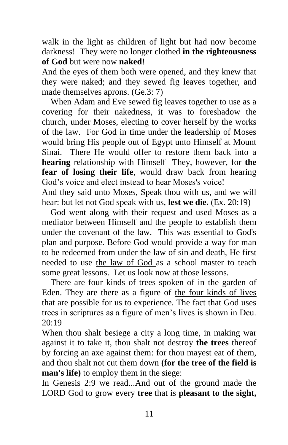walk in the light as children of light but had now become darkness! They were no longer clothed **in the righteousness of God** but were now **naked**!

And the eyes of them both were opened, and they knew that they were naked; and they sewed fig leaves together, and made themselves aprons. (Ge.3: 7)

When Adam and Eve sewed fig leaves together to use as a covering for their nakedness, it was to foreshadow the church, under Moses, electing to cover herself by the works of the law. For God in time under the leadership of Moses would bring His people out of Egypt unto Himself at Mount Sinai. There He would offer to restore them back into a **hearing** relationship with Himself They, however, for **the fear of losing their life**, would draw back from hearing God's voice and elect instead to hear Moses's voice!

And they said unto Moses, Speak thou with us, and we will hear: but let not God speak with us, **lest we die.** (Ex. 20:19)

 God went along with their request and used Moses as a mediator between Himself and the people to establish them under the covenant of the law. This was essential to God's plan and purpose. Before God would provide a way for man to be redeemed from under the law of sin and death, He first needed to use the law of God as a school master to teach some great lessons. Let us look now at those lessons.

 There are four kinds of trees spoken of in the garden of Eden. They are there as a figure of the four kinds of lives that are possible for us to experience. The fact that God uses trees in scriptures as a figure of men's lives is shown in Deu. 20:19

When thou shalt besiege a city a long time, in making war against it to take it, thou shalt not destroy **the trees** thereof by forcing an axe against them: for thou mayest eat of them, and thou shalt not cut them down **(for the tree of the field is man's life)** to employ them in the siege:

In Genesis 2:9 we read...And out of the ground made the LORD God to grow every **tree** that is **pleasant to the sight,**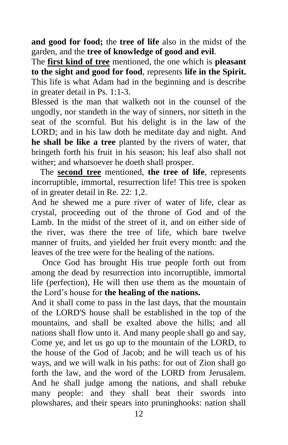**and good for food;** the **tree of life** also in the midst of the garden, and the **tree of knowledge of good and evil**.

The **first kind of tree** mentioned, the one which is **pleasant to the sight and good for food**, represents **life in the Spirit.**  This life is what Adam had in the beginning and is describe in greater detail in Ps. 1:1-3.

Blessed is the man that walketh not in the counsel of the ungodly, nor standeth in the way of sinners, nor sitteth in the seat of the scornful. But his delight is in the law of the LORD; and in his law doth he meditate day and night. And **he shall be like a tree** planted by the rivers of water, that bringeth forth his fruit in his season; his leaf also shall not wither; and whatsoever he doeth shall prosper.

 The **second tree** mentioned, **the tree of life**, represents incorruptible, immortal, resurrection life! This tree is spoken of in greater detail in Re. 22: 1,2.

And he shewed me a pure river of water of life, clear as crystal, proceeding out of the throne of God and of the Lamb. In the midst of the street of it, and on either side of the river, was there the tree of life, which bare twelve manner of fruits, and yielded her fruit every month: and the leaves of the tree were for the healing of the nations.

 Once God has brought His true people forth out from among the dead by resurrection into incorruptible, immortal life (perfection), He will then use them as the mountain of the Lord's house for **the healing of the nations.**

And it shall come to pass in the last days, that the mountain of the LORD'S house shall be established in the top of the mountains, and shall be exalted above the hills; and all nations shall flow unto it. And many people shall go and say, Come ye, and let us go up to the mountain of the LORD, to the house of the God of Jacob; and he will teach us of his ways, and we will walk in his paths: for out of Zion shall go forth the law, and the word of the LORD from Jerusalem. And he shall judge among the nations, and shall rebuke many people: and they shall beat their swords into plowshares, and their spears into pruninghooks: nation shall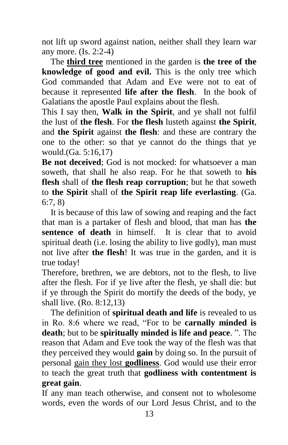not lift up sword against nation, neither shall they learn war any more. (Is. 2:2-4)

 The **third tree** mentioned in the garden is **the tree of the knowledge of good and evil.** This is the only tree which God commanded that Adam and Eve were not to eat of because it represented **life after the flesh**. In the book of Galatians the apostle Paul explains about the flesh.

This I say then, **Walk in the Spirit**, and ye shall not fulfil the lust of **the flesh**. For **the flesh** lusteth against **the Spirit**, and **the Spirit** against **the flesh**: and these are contrary the one to the other: so that ye cannot do the things that ye would.(Ga. 5:16,17)

**Be not deceived:** God is not mocked: for whatsoever a man soweth, that shall he also reap. For he that soweth to **his flesh** shall of **the flesh reap corruption**; but he that soweth to **the Spirit** shall of **the Spirit reap life everlasting**. (Ga. 6:7, 8)

 It is because of this law of sowing and reaping and the fact that man is a partaker of flesh and blood, that man has **the sentence of death** in himself. It is clear that to avoid spiritual death (i.e. losing the ability to live godly), man must not live after **the flesh**! It was true in the garden, and it is true today!

Therefore, brethren, we are debtors, not to the flesh, to live after the flesh. For if ye live after the flesh, ye shall die: but if ye through the Spirit do mortify the deeds of the body, ye shall live. (Ro. 8:12,13)

 The definition of **spiritual death and life** is revealed to us in Ro. 8:6 where we read, "For to be **carnally minded is death**; but to be **spiritually minded is life and peace**. ". The reason that Adam and Eve took the way of the flesh was that they perceived they would **gain** by doing so. In the pursuit of personal gain they lost **godliness**. God would use their error to teach the great truth that **godliness with contentment is great gain**.

If any man teach otherwise, and consent not to wholesome words, even the words of our Lord Jesus Christ, and to the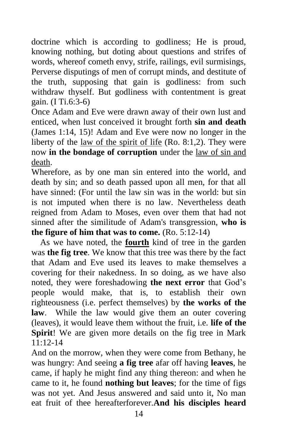doctrine which is according to godliness; He is proud, knowing nothing, but doting about questions and strifes of words, whereof cometh envy, strife, railings, evil surmisings, Perverse disputings of men of corrupt minds, and destitute of the truth, supposing that gain is godliness: from such withdraw thyself. But godliness with contentment is great gain. (I Ti.6:3-6)

Once Adam and Eve were drawn away of their own lust and enticed, when lust conceived it brought forth **sin and death**  (James 1:14, 15)! Adam and Eve were now no longer in the liberty of the law of the spirit of life (Ro. 8:1,2). They were now **in the bondage of corruption** under the law of sin and death.

Wherefore, as by one man sin entered into the world, and death by sin; and so death passed upon all men, for that all have sinned: (For until the law sin was in the world: but sin is not imputed when there is no law. Nevertheless death reigned from Adam to Moses, even over them that had not sinned after the similitude of Adam's transgression, **who is the figure of him that was to come.** (Ro. 5:12-14)

 As we have noted, the **fourth** kind of tree in the garden was **the fig tree**. We know that this tree was there by the fact that Adam and Eve used its leaves to make themselves a covering for their nakedness. In so doing, as we have also noted, they were foreshadowing **the next error** that God's people would make, that is, to establish their own righteousness (i.e. perfect themselves) by **the works of the law**. While the law would give them an outer covering (leaves), it would leave them without the fruit, i.e. **life of the Spirit!** We are given more details on the fig tree in Mark 11:12-14

And on the morrow, when they were come from Bethany, he was hungry: And seeing **a fig tree** afar off having **leaves**, he came, if haply he might find any thing thereon: and when he came to it, he found **nothing but leaves**; for the time of figs was not yet. And Jesus answered and said unto it, No man eat fruit of thee hereafterforever.**And his disciples heard**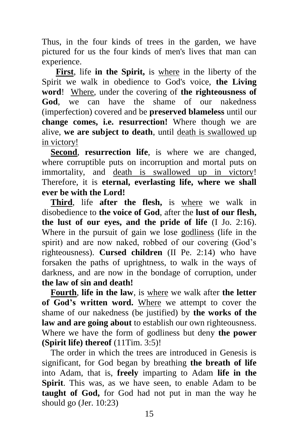Thus, in the four kinds of trees in the garden, we have pictured for us the four kinds of men's lives that man can experience.

 **First**, life **in the Spirit,** is where in the liberty of the Spirit we walk in obedience to God's voice, **the Living word**! Where, under the covering of **the righteousness of God**, we can have the shame of our nakedness (imperfection) covered and be **preserved blameless** until our **change comes, i.e. resurrection!** Where though we are alive, **we are subject to death**, until death is swallowed up in victory!

 **Second**, **resurrection life**, is where we are changed, where corruptible puts on incorruption and mortal puts on immortality, and death is swallowed up in victory! Therefore, it is **eternal, everlasting life, where we shall ever be with the Lord!**

 **Third**, life **after the flesh,** is where we walk in disobedience to **the voice of God**, after the **lust of our flesh, the lust of our eyes, and the pride of life** (I Jo. 2:16). Where in the pursuit of gain we lose godliness (life in the spirit) and are now naked, robbed of our covering (God's righteousness). **Cursed children** (II Pe. 2:14) who have forsaken the paths of uprightness, to walk in the ways of darkness, and are now in the bondage of corruption, under **the law of sin and death!**

 **Fourth**, **life in the law**, is where we walk after **the letter of God's written word.** Where we attempt to cover the shame of our nakedness (be justified) by **the works of the law and are going about** to establish our own righteousness. Where we have the form of godliness but deny **the power (Spirit life) thereof** (11Tim. 3:5)!

 The order in which the trees are introduced in Genesis is significant, for God began by breathing **the breath of life** into Adam, that is, **freely** imparting to Adam **life in the Spirit**. This was, as we have seen, to enable Adam to be **taught of God,** for God had not put in man the way he should go (Jer. 10:23)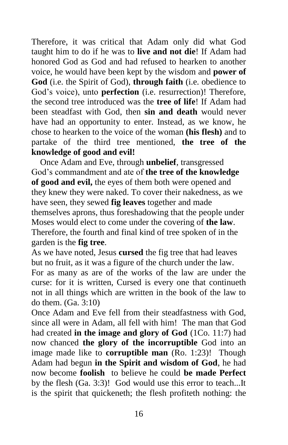Therefore, it was critical that Adam only did what God taught him to do if he was to **live and not die**! If Adam had honored God as God and had refused to hearken to another voice, he would have been kept by the wisdom and **power of God** (i.e. the Spirit of God), **through faith** (i.e. obedience to God's voice), unto **perfection** (i.e. resurrection)! Therefore, the second tree introduced was the **tree of life**! If Adam had been steadfast with God, then **sin and death** would never have had an opportunity to enter. Instead, as we know, he chose to hearken to the voice of the woman **(his flesh)** and to partake of the third tree mentioned, **the tree of the knowledge of good and evil!**

 Once Adam and Eve, through **unbelief**, transgressed God's commandment and ate of **the tree of the knowledge of good and evil,** the eyes of them both were opened and they knew they were naked. To cover their nakedness, as we have seen, they sewed **fig leaves** together and made themselves aprons, thus foreshadowing that the people under Moses would elect to come under the covering of **the law**. Therefore, the fourth and final kind of tree spoken of in the garden is the **fig tree**.

As we have noted, Jesus **cursed** the fig tree that had leaves but no fruit, as it was a figure of the church under the law.

For as many as are of the works of the law are under the curse: for it is written, Cursed is every one that continueth not in all things which are written in the book of the law to do them. (Ga. 3:10)

Once Adam and Eve fell from their steadfastness with God, since all were in Adam, all fell with him! The man that God had created **in the image and glory of God** (1Co. 11:7) had now chanced **the glory of the incorruptible** God into an image made like to **corruptible man** (Ro. 1:23)! Though Adam had begun **in the Spirit and wisdom of God**, he had now become **foolish** to believe he could **be made Perfect**  by the flesh (Ga. 3:3)! God would use this error to teach...It is the spirit that quickeneth; the flesh profiteth nothing: the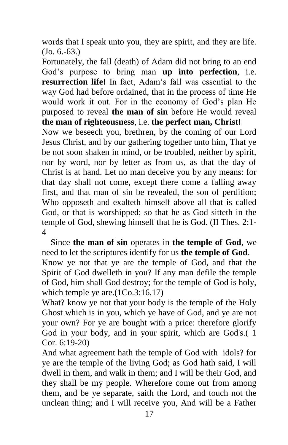words that I speak unto you, they are spirit, and they are life. (Jo. 6.-63.)

Fortunately, the fall (death) of Adam did not bring to an end God's purpose to bring man **up into perfection**, i.e. **resurrection life!** In fact, Adam's fall was essential to the way God had before ordained, that in the process of time He would work it out. For in the economy of God's plan He purposed to reveal **the man of sin** before He would reveal **the man of righteousness**, i.e. **the perfect man, Christ!**

Now we beseech you, brethren, by the coming of our Lord Jesus Christ, and by our gathering together unto him, That ye be not soon shaken in mind, or be troubled, neither by spirit, nor by word, nor by letter as from us, as that the day of Christ is at hand. Let no man deceive you by any means: for that day shall not come, except there come a falling away first, and that man of sin be revealed, the son of perdition; Who opposeth and exalteth himself above all that is called God, or that is worshipped; so that he as God sitteth in the temple of God, shewing himself that he is God. (II Thes. 2:1- 4

 Since **the man of sin** operates in **the temple of God**, we need to let the scriptures identify for us **the temple of God**. Know ye not that ye are the temple of God, and that the Spirit of God dwelleth in you? If any man defile the temple of God, him shall God destroy; for the temple of God is holy, which temple ye are.(1Co.3:16,17)

What? know ye not that your body is the temple of the Holy Ghost which is in you, which ye have of God, and ye are not your own? For ye are bought with a price: therefore glorify God in your body, and in your spirit, which are God's.( 1 Cor. 6:19-20)

And what agreement hath the temple of God with idols? for ye are the temple of the living God; as God hath said, I will dwell in them, and walk in them; and I will be their God, and they shall be my people. Wherefore come out from among them, and be ye separate, saith the Lord, and touch not the unclean thing; and I will receive you, And will be a Father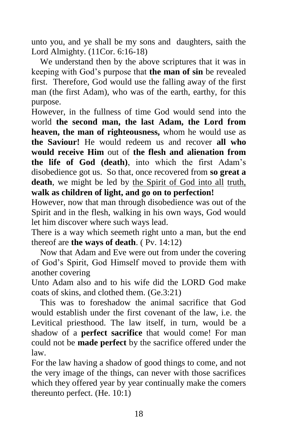unto you, and ye shall be my sons and daughters, saith the Lord Almighty. (11Cor. 6:16-18)

 We understand then by the above scriptures that it was in keeping with God's purpose that **the man of sin** be revealed first. Therefore, God would use the falling away of the first man (the first Adam), who was of the earth, earthy, for this purpose.

However, in the fullness of time God would send into the world **the second man, the last Adam, the Lord from heaven, the man of righteousness,** whom he would use as **the Saviour!** He would redeem us and recover **all who would receive Him** out of **the flesh and alienation from the life of God (death)**, into which the first Adam's disobedience got us. So that, once recovered from **so great a death**, we might be led by the Spirit of God into all truth, **walk as children of light, and go on to perfection!**

However, now that man through disobedience was out of the Spirit and in the flesh, walking in his own ways, God would let him discover where such ways lead.

There is a way which seemeth right unto a man, but the end thereof are **the ways of death**. ( Pv. 14:12)

 Now that Adam and Eve were out from under the covering of God's Spirit, God Himself moved to provide them with another covering

Unto Adam also and to his wife did the LORD God make coats of skins, and clothed them. (Ge.3:21)

 This was to foreshadow the animal sacrifice that God would establish under the first covenant of the law, i.e. the Levitical priesthood. The law itself, in turn, would be a shadow of a **perfect sacrifice** that would come! For man could not be **made perfect** by the sacrifice offered under the law.

For the law having a shadow of good things to come, and not the very image of the things, can never with those sacrifices which they offered year by year continually make the comers thereunto perfect. (He. 10:1)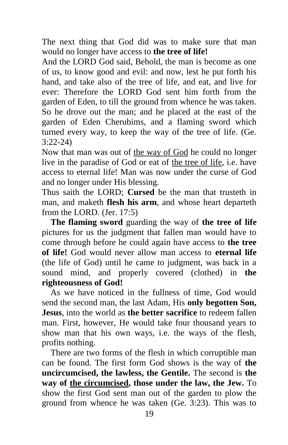The next thing that God did was to make sure that man would no longer have access to **the tree of life!**

And the LORD God said, Behold, the man is become as one of us, to know good and evil: and now, lest he put forth his hand, and take also of the tree of life, and eat, and live for ever: Therefore the LORD God sent him forth from the garden of Eden, to till the ground from whence he was taken. So he drove out the man; and he placed at the east of the garden of Eden Cherubims, and a flaming sword which turned every way, to keep the way of the tree of life. (Ge. 3:22-24)

Now that man was out of the way of God he could no longer live in the paradise of God or eat of the tree of life, i.e. have access to eternal life! Man was now under the curse of God and no longer under His blessing.

Thus saith the LORD; **Cursed** be the man that trusteth in man, and maketh **flesh his arm**, and whose heart departeth from the LORD. (Jer. 17:5)

 **The flaming sword** guarding the way of **the tree of life** pictures for us the judgment that fallen man would have to come through before he could again have access to **the tree of life!** God would never allow man access to **eternal life** (the life of God) until he came to judgment, was back in a sound mind, and properly covered (clothed) in **the righteousness of God!**

As we have noticed in the fullness of time, God would send the second man, the last Adam, His **only begotten Son, Jesus**, into the world as **the better sacrifice** to redeem fallen man. First, however, He would take four thousand years to show man that his own ways, i.e. the ways of the flesh, profits nothing.

 There are two forms of the flesh in which corruptible man can be found. The first form God shows is the way of **the uncircumcised, the lawless, the Gentile.** The second is **the way of the circumcised, those under the law, the Jew.** To show the first God sent man out of the garden to plow the ground from whence he was taken (Ge. 3:23). This was to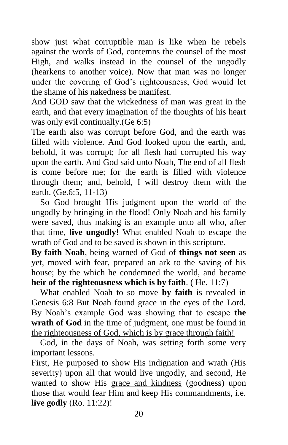show just what corruptible man is like when he rebels against the words of God, contemns the counsel of the most High, and walks instead in the counsel of the ungodly (hearkens to another voice). Now that man was no longer under the covering of God's righteousness, God would let the shame of his nakedness be manifest.

And GOD saw that the wickedness of man was great in the earth, and that every imagination of the thoughts of his heart was only evil continually.(Ge 6:5)

The earth also was corrupt before God, and the earth was filled with violence. And God looked upon the earth, and, behold, it was corrupt; for all flesh had corrupted his way upon the earth. And God said unto Noah, The end of all flesh is come before me; for the earth is filled with violence through them; and, behold, I will destroy them with the earth. (Ge.6:5, 11-13)

 So God brought His judgment upon the world of the ungodly by bringing in the flood! Only Noah and his family were saved, thus making is an example unto all who, after that time, **live ungodly!** What enabled Noah to escape the wrath of God and to be saved is shown in this scripture.

**By faith Noah**, being warned of God of **things not seen** as yet, moved with fear, prepared an ark to the saving of his house; by the which he condemned the world, and became **heir of the righteousness which is by faith**. ( He. 11:7)

 What enabled Noah to so move **by faith** is revealed in Genesis 6:8 But Noah found grace in the eyes of the Lord. By Noah's example God was showing that to escape **the wrath of God** in the time of judgment, one must be found in the righteousness of God, which is by grace through faith!

 God, in the days of Noah, was setting forth some very important lessons.

First, He purposed to show His indignation and wrath (His severity) upon all that would live ungodly, and second, He wanted to show His grace and kindness (goodness) upon those that would fear Him and keep His commandments, i.e. **live godly** (Ro. 11:22)!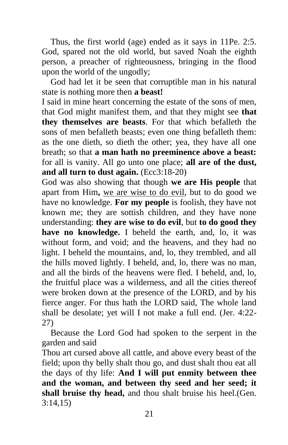Thus, the first world (age) ended as it says in 11Pe. 2:5. God, spared not the old world, but saved Noah the eighth person, a preacher of righteousness, bringing in the flood upon the world of the ungodly;

 God had let it be seen that corruptible man in his natural state is nothing more then **a beast!**

I said in mine heart concerning the estate of the sons of men, that God might manifest them, and that they might see **that they themselves are beasts**. For that which befalleth the sons of men befalleth beasts; even one thing befalleth them: as the one dieth, so dieth the other; yea, they have all one breath; so that **a man hath no preeminence above a beast:** for all is vanity. All go unto one place; **all are of the dust, and all turn to dust again.** (Ecc3:18-20)

God was also showing that though **we are His people** that apart from Him**,** we are wise to do evil, but to do good we have no knowledge. **For my people** is foolish, they have not known me; they are sottish children, and they have none understanding: **they are wise to do evil**, but **to do good they have no knowledge.** I beheld the earth, and, lo, it was without form, and void; and the heavens, and they had no light. I beheld the mountains, and, lo, they trembled, and all the hills moved lightly. I beheld, and, lo, there was no man, and all the birds of the heavens were fled. I beheld, and, lo, the fruitful place was a wilderness, and all the cities thereof were broken down at the presence of the LORD, and by his fierce anger. For thus hath the LORD said, The whole land shall be desolate; yet will I not make a full end. (Jer. 4:22- 27)

 Because the Lord God had spoken to the serpent in the garden and said

Thou art cursed above all cattle, and above every beast of the field; upon thy belly shalt thou go, and dust shalt thou eat all the days of thy life: **And I will put enmity between thee and the woman, and between thy seed and her seed; it shall bruise thy head,** and thou shalt bruise his heel.(Gen. 3:14,15)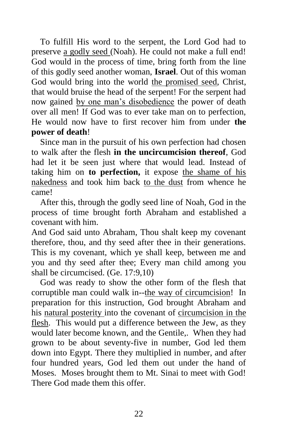To fulfill His word to the serpent, the Lord God had to preserve a godly seed (Noah). He could not make a full end! God would in the process of time, bring forth from the line of this godly seed another woman, **Israel**. Out of this woman God would bring into the world the promised seed, Christ, that would bruise the head of the serpent! For the serpent had now gained by one man's disobedience the power of death over all men! If God was to ever take man on to perfection, He would now have to first recover him from under **the power of death**!

 Since man in the pursuit of his own perfection had chosen to walk after the flesh **in the uncircumcision thereof**, God had let it be seen just where that would lead. Instead of taking him on **to perfection,** it expose the shame of his nakedness and took him back to the dust from whence he came!

 After this, through the godly seed line of Noah, God in the process of time brought forth Abraham and established a covenant with him.

And God said unto Abraham, Thou shalt keep my covenant therefore, thou, and thy seed after thee in their generations. This is my covenant, which ye shall keep, between me and you and thy seed after thee; Every man child among you shall be circumcised. (Ge. 17:9,10)

 God was ready to show the other form of the flesh that corruptible man could walk in--the way of circumcision! In preparation for this instruction, God brought Abraham and his natural posterity into the covenant of circumcision in the flesh. This would put a difference between the Jew, as they would later become known, and the Gentile,. When they had grown to be about seventy-five in number, God led them down into Egypt. There they multiplied in number, and after four hundred years, God led them out under the hand of Moses. Moses brought them to Mt. Sinai to meet with God! There God made them this offer.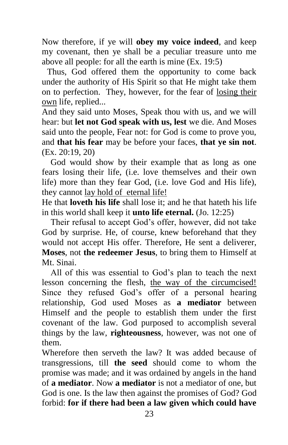Now therefore, if ye will **obey my voice indeed**, and keep my covenant, then ye shall be a peculiar treasure unto me above all people: for all the earth is mine (Ex. 19:5)

Thus, God offered them the opportunity to come back under the authority of His Spirit so that He might take them on to perfection. They, however, for the fear of losing their own life, replied...

And they said unto Moses, Speak thou with us, and we will hear: but **let not God speak with us, lest** we die. And Moses said unto the people, Fear not: for God is come to prove you, and **that his fear** may be before your faces, **that ye sin not**. (Ex. 20:19, 20)

 God would show by their example that as long as one fears losing their life, (i.e. love themselves and their own life) more than they fear God, (i.e. love God and His life), they cannot lay hold of eternal life!

He that **loveth his life** shall lose it; and he that hateth his life in this world shall keep it **unto life eternal.** (Jo. 12:25)

 Their refusal to accept God's offer, however, did not take God by surprise. He, of course, knew beforehand that they would not accept His offer. Therefore, He sent a deliverer, **Moses**, not **the redeemer Jesus**, to bring them to Himself at Mt. Sinai.

 All of this was essential to God's plan to teach the next lesson concerning the flesh, the way of the circumcised! Since they refused God's offer of a personal hearing relationship, God used Moses as **a mediator** between Himself and the people to establish them under the first covenant of the law. God purposed to accomplish several things by the law, **righteousness**, however, was not one of them.

Wherefore then serveth the law? It was added because of transgressions, till **the seed** should come to whom the promise was made; and it was ordained by angels in the hand of **a mediator**. Now **a mediator** is not a mediator of one, but God is one. Is the law then against the promises of God? God forbid: **for if there had been a law given which could have**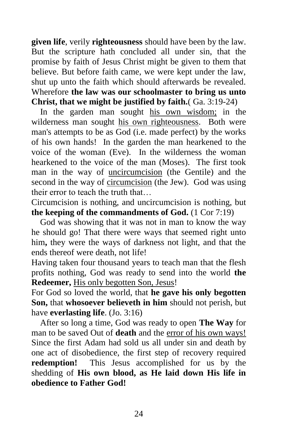**given life**, verily **righteousness** should have been by the law. But the scripture hath concluded all under sin, that the promise by faith of Jesus Christ might be given to them that believe. But before faith came, we were kept under the law, shut up unto the faith which should afterwards be revealed. Wherefore **the law was our schoolmaster to bring us unto Christ, that we might be justified by faith.**( Ga. 3:19-24)

 In the garden man sought his own wisdom; in the wilderness man sought his own righteousness. Both were man's attempts to be as God (i.e. made perfect) by the works of his own hands! In the garden the man hearkened to the voice of the woman (Eve). In the wilderness the woman hearkened to the voice of the man (Moses). The first took man in the way of uncircumcision (the Gentile) and the second in the way of circumcision (the Jew). God was using their error to teach the truth that…

Circumcision is nothing, and uncircumcision is nothing, but **the keeping of the commandments of God.** (1 Cor 7:19)

 God was showing that it was not in man to know the way he should go! That there were ways that seemed right unto him**,** they were the ways of darkness not light, and that the ends thereof were death, not life!

Having taken four thousand years to teach man that the flesh profits nothing, God was ready to send into the world **the Redeemer,** His only begotten Son, Jesus!

For God so loved the world, that **he gave his only begotten Son,** that **whosoever believeth in him** should not perish, but have **everlasting life**. (Jo. 3:16)

 After so long a time, God was ready to open **The Way** for man to be saved Out of **death** and the error of his own ways! Since the first Adam had sold us all under sin and death by one act of disobedience, the first step of recovery required **redemption!** This Jesus accomplished for us by the shedding of **His own blood, as He laid down His life in obedience to Father God!**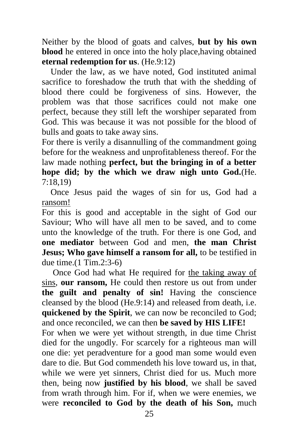Neither by the blood of goats and calves, **but by his own blood** he entered in once into the holy place, having obtained **eternal redemption for us**. (He.9:12)

 Under the law, as we have noted, God instituted animal sacrifice to foreshadow the truth that with the shedding of blood there could be forgiveness of sins. However, the problem was that those sacrifices could not make one perfect, because they still left the worshiper separated from God. This was because it was not possible for the blood of bulls and goats to take away sins.

For there is verily a disannulling of the commandment going before for the weakness and unprofitableness thereof. For the law made nothing **perfect, but the bringing in of a better hope did; by the which we draw nigh unto God.**(He. 7:18,19)

 Once Jesus paid the wages of sin for us, God had a ransom!

For this is good and acceptable in the sight of God our Saviour; Who will have all men to be saved, and to come unto the knowledge of the truth. For there is one God, and **one mediator** between God and men, **the man Christ Jesus; Who gave himself a ransom for all,** to be testified in due time.(1 Tim.2:3-6)

 Once God had what He required for the taking away of sins, **our ransom,** He could then restore us out from under **the guilt and penalty of sin!** Having the conscience cleansed by the blood (He.9:14) and released from death, i.e. **quickened by the Spirit**, we can now be reconciled to God; and once reconciled, we can then **be saved by HIS LIFE!** For when we were yet without strength, in due time Christ died for the ungodly. For scarcely for a righteous man will one die: yet peradventure for a good man some would even dare to die. But God commendeth his love toward us, in that, while we were yet sinners, Christ died for us. Much more then, being now **justified by his blood**, we shall be saved from wrath through him. For if, when we were enemies, we were **reconciled to God by the death of his Son,** much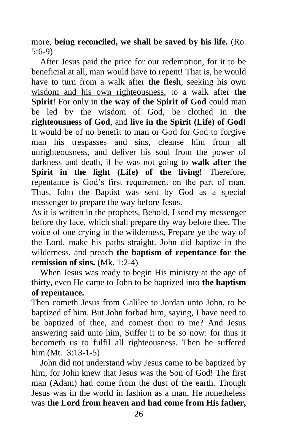more, **being reconciled, we shall be saved by his life.** (Ro. 5:6-9)

 After Jesus paid the price for our redemption, for it to be beneficial at all, man would have to repent! That is, he would have to turn from a walk after **the flesh**, seeking his own wisdom and his own righteousness, to a walk after **the Spirit**! For only in **the way of the Spirit of God** could man be led by the wisdom of God, be clothed in **the righteousness of God**, and **live in the Spirit (Life) of God!** It would be of no benefit to man or God for God to forgive man his trespasses and sins, cleanse him from all unrighteousness, and deliver his soul from the power of darkness and death, if he was not going to **walk after the Spirit in the light (Life) of the living!** Therefore, repentance is God's first requirement on the part of man. Thus, John the Baptist was sent by God as a special messenger to prepare the way before Jesus.

As it is written in the prophets, Behold, I send my messenger before thy face, which shall prepare thy way before thee. The voice of one crying in the wilderness, Prepare ye the way of the Lord, make his paths straight. John did baptize in the wilderness, and preach **the baptism of repentance for the remission of sins.** (Mk. 1:2-4)

 When Jesus was ready to begin His ministry at the age of thirty, even He came to John to be baptized into **the baptism of repentance.**

Then cometh Jesus from Galilee to Jordan unto John, to be baptized of him. But John forbad him, saying, I have need to be baptized of thee, and comest thou to me? And Jesus answering said unto him, Suffer it to be so now: for thus it becometh us to fulfil all righteousness. Then he suffered him.(Mt. 3:13-1-5)

 John did not understand why Jesus came to be baptized by him, for John knew that Jesus was the Son of God! The first man (Adam) had come from the dust of the earth. Though Jesus was in the world in fashion as a man, He nonetheless was **the Lord from heaven and had come from His father,**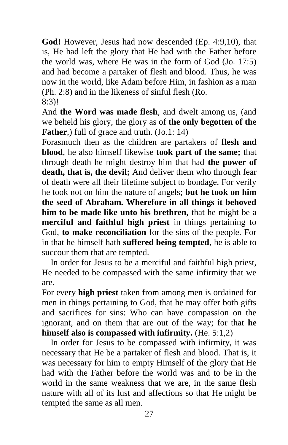**God!** However, Jesus had now descended (Ep. 4:9,10), that is, He had left the glory that He had with the Father before the world was, where He was in the form of God (Jo. 17:5) and had become a partaker of flesh and blood. Thus, he was now in the world, like Adam before Him, in fashion as a man (Ph. 2:8) and in the likeness of sinful flesh (Ro. 8:3)!

And **the Word was made flesh**, and dwelt among us, (and we beheld his glory, the glory as of **the only begotten of the Father**,) full of grace and truth. (Jo.1: 14)

Forasmuch then as the children are partakers of **flesh and blood**, he also himself likewise **took part of the same;** that through death he might destroy him that had **the power of death, that is, the devil;** And deliver them who through fear of death were all their lifetime subject to bondage. For verily he took not on him the nature of angels; **but he took on him the seed of Abraham. Wherefore in all things it behoved him to be made like unto his brethren,** that he might be a **merciful and faithful high priest** in things pertaining to God, **to make reconciliation** for the sins of the people. For in that he himself hath **suffered being tempted**, he is able to succour them that are tempted.

 In order for Jesus to be a merciful and faithful high priest, He needed to be compassed with the same infirmity that we are.

For every **high priest** taken from among men is ordained for men in things pertaining to God, that he may offer both gifts and sacrifices for sins: Who can have compassion on the ignorant, and on them that are out of the way; for that **he himself also is compassed with infirmity.** (He. 5:1,2)

 In order for Jesus to be compassed with infirmity, it was necessary that He be a partaker of flesh and blood. That is, it was necessary for him to empty Himself of the glory that He had with the Father before the world was and to be in the world in the same weakness that we are, in the same flesh nature with all of its lust and affections so that He might be tempted the same as all men.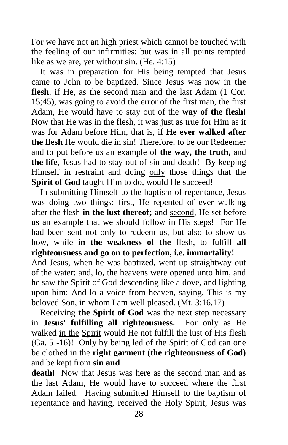For we have not an high priest which cannot be touched with the feeling of our infirmities; but was in all points tempted like as we are, yet without sin. (He. 4:15)

 It was in preparation for His being tempted that Jesus came to John to be baptized. Since Jesus was now in **the**  flesh, if He, as the second man and the last Adam (1 Cor. 15;45), was going to avoid the error of the first man, the first Adam, He would have to stay out of the **way of the flesh!** Now that He was in the flesh, it was just as true for Him as it was for Adam before Him, that is, if **He ever walked after the flesh** He would die in sin! Therefore, to be our Redeemer and to put before us an example of **the way, the truth,** and **the life**, Jesus had to stay out of sin and death! By keeping Himself in restraint and doing only those things that the **Spirit of God** taught Him to do, would He succeed!

In submitting Himself to the baptism of repentance, Jesus was doing two things: first, He repented of ever walking after the flesh **in the lust thereof;** and second, He set before us an example that we should follow in His steps! For He had been sent not only to redeem us, but also to show us how, while **in the weakness of the** flesh, to fulfill **all righteousness and go on to perfection, i.e. immortality!**

And Jesus, when he was baptized, went up straightway out of the water: and, lo, the heavens were opened unto him, and he saw the Spirit of God descending like a dove, and lighting upon him: And lo a voice from heaven, saying, This is my beloved Son, in whom I am well pleased. (Mt. 3:16,17)

 Receiving **the Spirit of God** was the next step necessary in **Jesus' fulfilling all righteousness.** For only as He walked in the Spirit would He not fulfill the lust of His flesh (Ga. 5 -16)! Only by being led of the Spirit of God can one be clothed in the **right garment (the righteousness of God)** and be kept from **sin and**

**death!** Now that Jesus was here as the second man and as the last Adam, He would have to succeed where the first Adam failed. Having submitted Himself to the baptism of repentance and having, received the Holy Spirit, Jesus was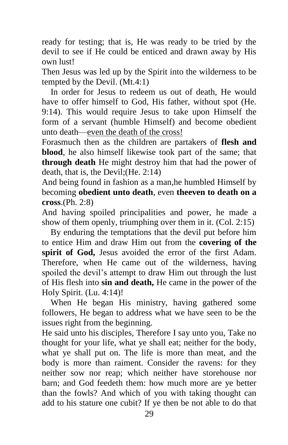ready for testing; that is, He was ready to be tried by the devil to see if He could be enticed and drawn away by His own lust!

Then Jesus was led up by the Spirit into the wilderness to be tempted by the Devil. (Mt.4:1)

 In order for Jesus to redeem us out of death, He would have to offer himself to God, His father, without spot (He. 9:14). This would require Jesus to take upon Himself the form of a servant (humble Himself) and become obedient unto death—even the death of the cross!

Forasmuch then as the children are partakers of **flesh and blood**, he also himself likewise took part of the same; that **through death** He might destroy him that had the power of death, that is, the Devil;(He. 2:14)

And being found in fashion as a man,he humbled Himself by becoming **obedient unto death**, even **theeven to death on a cross**.(Ph. 2:8)

And having spoiled principalities and power, he made a show of them openly, triumphing over them in it. (Col. 2:15)

 By enduring the temptations that the devil put before him to entice Him and draw Him out from the **covering of the spirit of God,** Jesus avoided the error of the first Adam. Therefore, when He came out of the wilderness, having spoiled the devil's attempt to draw Him out through the lust of His flesh into **sin and death,** He came in the power of the Holy Spirit. (Lu. 4:14)!

 When He began His ministry, having gathered some followers, He began to address what we have seen to be the issues right from the beginning.

He said unto his disciples, Therefore I say unto you, Take no thought for your life, what ye shall eat; neither for the body, what ye shall put on. The life is more than meat, and the body is more than raiment. Consider the ravens: for they neither sow nor reap; which neither have storehouse nor barn; and God feedeth them: how much more are ye better than the fowls? And which of you with taking thought can add to his stature one cubit? If ye then be not able to do that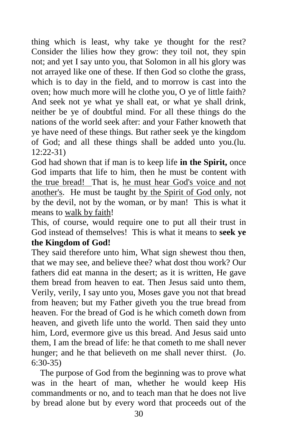thing which is least, why take ye thought for the rest? Consider the lilies how they grow: they toil not, they spin not; and yet I say unto you, that Solomon in all his glory was not arrayed like one of these. If then God so clothe the grass, which is to day in the field, and to morrow is cast into the oven; how much more will he clothe you, O ye of little faith? And seek not ye what ye shall eat, or what ye shall drink, neither be ye of doubtful mind. For all these things do the nations of the world seek after: and your Father knoweth that ye have need of these things. But rather seek ye the kingdom of God; and all these things shall be added unto you.(lu. 12:22-31)

God had shown that if man is to keep life **in the Spirit,** once God imparts that life to him, then he must be content with the true bread! That is, he must hear God's voice and not another's. He must be taught by the Spirit of God only, not by the devil, not by the woman, or by man! This is what it means to walk by faith!

This, of course, would require one to put all their trust in God instead of themselves! This is what it means to **seek ye the Kingdom of God!**

They said therefore unto him, What sign shewest thou then, that we may see, and believe thee? what dost thou work? Our fathers did eat manna in the desert; as it is written, He gave them bread from heaven to eat. Then Jesus said unto them, Verily, verily, I say unto you, Moses gave you not that bread from heaven; but my Father giveth you the true bread from heaven. For the bread of God is he which cometh down from heaven, and giveth life unto the world. Then said they unto him, Lord, evermore give us this bread. And Jesus said unto them, I am the bread of life: he that cometh to me shall never hunger; and he that believeth on me shall never thirst. (Jo. 6:30-35)

 The purpose of God from the beginning was to prove what was in the heart of man, whether he would keep His commandments or no, and to teach man that he does not live by bread alone but by every word that proceeds out of the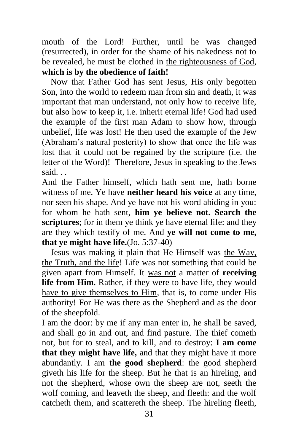mouth of the Lord! Further, until he was changed (resurrected), in order for the shame of his nakedness not to be revealed, he must be clothed in the righteousness of God, **which is by the obedience of faith!**

 Now that Father God has sent Jesus, His only begotten Son, into the world to redeem man from sin and death, it was important that man understand, not only how to receive life, but also how to keep it, i.e. inherit eternal life! God had used the example of the first man Adam to show how, through unbelief, life was lost! He then used the example of the Jew (Abraham's natural posterity) to show that once the life was lost that it could not be regained by the scripture (i.e. the letter of the Word)! Therefore, Jesus in speaking to the Jews said. . .

And the Father himself, which hath sent me, hath borne witness of me. Ye have **neither heard his voice** at any time, nor seen his shape. And ye have not his word abiding in you: for whom he hath sent, **him ye believe not. Search the scriptures**; for in them ye think ye have eternal life: and they are they which testify of me. And **ye will not come to me, that ye might have life.**(Jo. 5:37-40)

 Jesus was making it plain that He Himself was the Way, the Truth, and the life! Life was not something that could be given apart from Himself. It was not a matter of **receiving life from Him.** Rather, if they were to have life, they would have to give themselves to Him, that is, to come under His authority! For He was there as the Shepherd and as the door of the sheepfold.

I am the door: by me if any man enter in, he shall be saved, and shall go in and out, and find pasture. The thief cometh not, but for to steal, and to kill, and to destroy: **I am come that they might have life,** and that they might have it more abundantly. I am **the good shepherd**: the good shepherd giveth his life for the sheep. But he that is an hireling, and not the shepherd, whose own the sheep are not, seeth the wolf coming, and leaveth the sheep, and fleeth: and the wolf catcheth them, and scattereth the sheep. The hireling fleeth,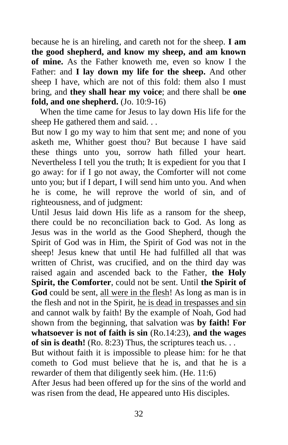because he is an hireling, and careth not for the sheep. **I am the good shepherd, and know my sheep, and am known of mine.** As the Father knoweth me, even so know I the Father: and **I lay down my life for the sheep.** And other sheep I have, which are not of this fold: them also I must bring, and **they shall hear my voice**; and there shall be **one fold, and one shepherd.** (Jo. 10:9-16)

 When the time came for Jesus to lay down His life for the sheep He gathered them and said. . .

But now I go my way to him that sent me; and none of you asketh me, Whither goest thou? But because I have said these things unto you, sorrow hath filled your heart. Nevertheless I tell you the truth; It is expedient for you that I go away: for if I go not away, the Comforter will not come unto you; but if I depart, I will send him unto you. And when he is come, he will reprove the world of sin, and of righteousness, and of judgment:

Until Jesus laid down His life as a ransom for the sheep, there could be no reconciliation back to God. As long as Jesus was in the world as the Good Shepherd, though the Spirit of God was in Him, the Spirit of God was not in the sheep! Jesus knew that until He had fulfilled all that was written of Christ, was crucified, and on the third day was raised again and ascended back to the Father, **the Holy Spirit, the Comforter**, could not be sent. Until **the Spirit of God** could be sent, all were in the flesh! As long as man is in the flesh and not in the Spirit, he is dead in trespasses and sin and cannot walk by faith! By the example of Noah, God had shown from the beginning, that salvation was **by faith! For whatsoever is not of faith is sin** (Ro.14:23), **and the wages**  of sin is death! (Ro. 8:23) Thus, the scriptures teach us. . .

But without faith it is impossible to please him: for he that cometh to God must believe that he is, and that he is a rewarder of them that diligently seek him. (He. 11:6)

After Jesus had been offered up for the sins of the world and was risen from the dead, He appeared unto His disciples.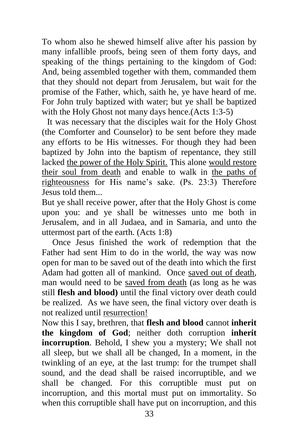To whom also he shewed himself alive after his passion by many infallible proofs, being seen of them forty days, and speaking of the things pertaining to the kingdom of God: And, being assembled together with them, commanded them that they should not depart from Jerusalem, but wait for the promise of the Father, which, saith he, ye have heard of me. For John truly baptized with water; but ye shall be baptized with the Holy Ghost not many days hence. (Acts 1:3-5)

It was necessary that the disciples wait for the Holy Ghost (the Comforter and Counselor) to be sent before they made any efforts to be His witnesses. For though they had been baptized by John into the baptism of repentance, they still lacked the power of the Holy Spirit. This alone would restore their soul from death and enable to walk in the paths of righteousness for His name's sake. (Ps. 23:3) Therefore Jesus told them...

But ye shall receive power, after that the Holy Ghost is come upon you: and ye shall be witnesses unto me both in Jerusalem, and in all Judaea, and in Samaria, and unto the uttermost part of the earth. (Acts 1:8)

Once Jesus finished the work of redemption that the Father had sent Him to do in the world, the way was now open for man to be saved out of the death into which the first Adam had gotten all of mankind. Once saved out of death, man would need to be saved from death (as long as he was still **flesh and blood)** until the final victory over death could be realized. As we have seen, the final victory over death is not realized until resurrection!

Now this I say, brethren, that **flesh and blood** cannot **inherit the kingdom of God**; neither doth corruption **inherit incorruption**. Behold, I shew you a mystery; We shall not all sleep, but we shall all be changed, In a moment, in the twinkling of an eye, at the last trump: for the trumpet shall sound, and the dead shall be raised incorruptible, and we shall be changed. For this corruptible must put on incorruption, and this mortal must put on immortality. So when this corruptible shall have put on incorruption, and this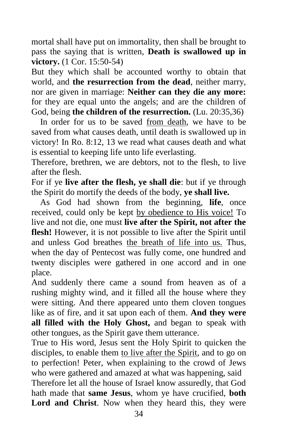mortal shall have put on immortality, then shall be brought to pass the saying that is written, **Death is swallowed up in victory.** (1 Cor. 15:50-54)

But they which shall be accounted worthy to obtain that world, and **the resurrection from the dead**, neither marry, nor are given in marriage: **Neither can they die any more:** for they are equal unto the angels; and are the children of God, being **the children of the resurrection.** (Lu. 20:35,36)

 In order for us to be saved from death, we have to be saved from what causes death, until death is swallowed up in victory! In Ro. 8:12, 13 we read what causes death and what is essential to keeping life unto life everlasting.

Therefore, brethren, we are debtors, not to the flesh, to live after the flesh.

For if ye **live after the flesh, ye shall die**: but if ye through the Spirit do mortify the deeds of the body, **ye shall live.** 

 As God had shown from the beginning, **life**, once received, could only be kept by obedience to His voice! To live and not die, one must **live after the Spirit, not after the flesh!** However, it is not possible to live after the Spirit until and unless God breathes the breath of life into us. Thus, when the day of Pentecost was fully come, one hundred and twenty disciples were gathered in one accord and in one place.

And suddenly there came a sound from heaven as of a rushing mighty wind, and it filled all the house where they were sitting. And there appeared unto them cloven tongues like as of fire, and it sat upon each of them. **And they were all filled with the Holy Ghost,** and began to speak with other tongues, as the Spirit gave them utterance.

True to His word, Jesus sent the Holy Spirit to quicken the disciples, to enable them to live after the Spirit, and to go on to perfection! Peter, when explaining to the crowd of Jews who were gathered and amazed at what was happening, said Therefore let all the house of Israel know assuredly, that God hath made that **same Jesus**, whom ye have crucified, **both**  Lord and Christ. Now when they heard this, they were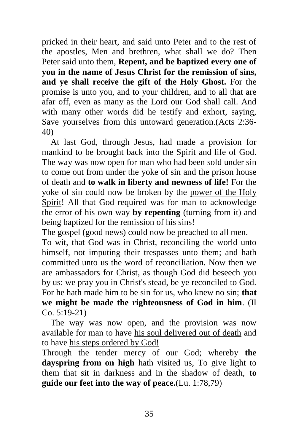pricked in their heart, and said unto Peter and to the rest of the apostles, Men and brethren, what shall we do? Then Peter said unto them, **Repent, and be baptized every one of you in the name of Jesus Christ for the remission of sins, and ye shall receive the gift of the Holy Ghost.** For the promise is unto you, and to your children, and to all that are afar off, even as many as the Lord our God shall call. And with many other words did he testify and exhort, saying, Save yourselves from this untoward generation.(Acts 2:36- 40)

 At last God, through Jesus, had made a provision for mankind to be brought back into the Spirit and life of God. The way was now open for man who had been sold under sin to come out from under the yoke of sin and the prison house of death and **to walk in liberty and newness of life!** For the yoke of sin could now be broken by the power of the Holy Spirit! All that God required was for man to acknowledge the error of his own way **by repenting** (turning from it) and being baptized for the remission of his sins!

The gospel (good news) could now be preached to all men.

To wit, that God was in Christ, reconciling the world unto himself, not imputing their trespasses unto them; and hath committed unto us the word of reconciliation. Now then we are ambassadors for Christ, as though God did beseech you by us: we pray you in Christ's stead, be ye reconciled to God. For he hath made him to be sin for us, who knew no sin; **that we might be made the righteousness of God in him**. (II  $Co. 5:19-21$ 

 The way was now open, and the provision was now available for man to have his soul delivered out of death and to have his steps ordered by God!

Through the tender mercy of our God; whereby **the dayspring from on high** hath visited us, To give light to them that sit in darkness and in the shadow of death, **to guide our feet into the way of peace.**(Lu. 1:78,79)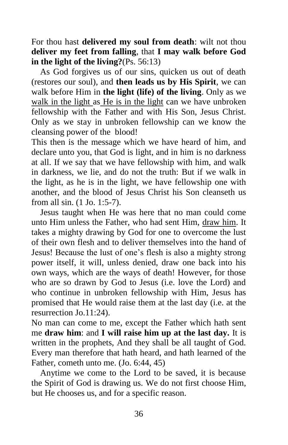For thou hast **delivered my soul from death**: wilt not thou **deliver my feet from falling**, that **I may walk before God in the light of the living?**(Ps. 56:13)

 As God forgives us of our sins, quicken us out of death (restores our soul), and **then leads us by His Spirit**, we can walk before Him in **the light (life) of the living**. Only as we walk in the light as He is in the light can we have unbroken fellowship with the Father and with His Son, Jesus Christ. Only as we stay in unbroken fellowship can we know the cleansing power of the blood!

This then is the message which we have heard of him, and declare unto you, that God is light, and in him is no darkness at all. If we say that we have fellowship with him, and walk in darkness, we lie, and do not the truth: But if we walk in the light, as he is in the light, we have fellowship one with another, and the blood of Jesus Christ his Son cleanseth us from all sin. (1 Jo. 1:5-7).

 Jesus taught when He was here that no man could come unto Him unless the Father, who had sent Him, draw him. It takes a mighty drawing by God for one to overcome the lust of their own flesh and to deliver themselves into the hand of Jesus! Because the lust of one's flesh is also a mighty strong power itself, it will, unless denied, draw one back into his own ways, which are the ways of death! However, for those who are so drawn by God to Jesus (i.e. love the Lord) and who continue in unbroken fellowship with Him, Jesus has promised that He would raise them at the last day (i.e. at the resurrection Jo.11:24).

No man can come to me, except the Father which hath sent me **draw him**: and **I will raise him up at the last day.** It is written in the prophets, And they shall be all taught of God. Every man therefore that hath heard, and hath learned of the Father, cometh unto me. (Jo. 6:44, 45)

 Anytime we come to the Lord to be saved, it is because the Spirit of God is drawing us. We do not first choose Him, but He chooses us, and for a specific reason.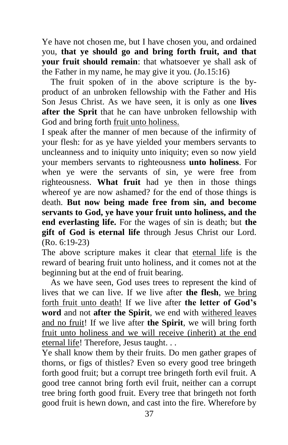Ye have not chosen me, but I have chosen you, and ordained you, **that ye should go and bring forth fruit, and that your fruit should remain**: that whatsoever ye shall ask of the Father in my name, he may give it you. (Jo.15:16)

 The fruit spoken of in the above scripture is the byproduct of an unbroken fellowship with the Father and His Son Jesus Christ. As we have seen, it is only as one **lives after the Sprit** that he can have unbroken fellowship with God and bring forth fruit unto holiness.

I speak after the manner of men because of the infirmity of your flesh: for as ye have yielded your members servants to uncleanness and to iniquity unto iniquity; even so now yield your members servants to righteousness **unto holiness**. For when ye were the servants of sin, ye were free from righteousness. **What fruit** had ye then in those things whereof ye are now ashamed? for the end of those things is death. **But now being made free from sin, and become servants to God, ye have your fruit unto holiness, and the end everlasting life.** For the wages of sin is death; but **the gift of God is eternal life** through Jesus Christ our Lord. (Ro. 6:19-23)

The above scripture makes it clear that eternal life is the reward of bearing fruit unto holiness, and it comes not at the beginning but at the end of fruit bearing.

 As we have seen, God uses trees to represent the kind of lives that we can live. If we live after **the flesh**, we bring forth fruit unto death! If we live after **the letter of God's word** and not **after the Spirit**, we end with withered leaves and no fruit! If we live after **the Spirit**, we will bring forth fruit unto holiness and we will receive (inherit) at the end eternal life! Therefore, Jesus taught. . .

Ye shall know them by their fruits. Do men gather grapes of thorns, or figs of thistles? Even so every good tree bringeth forth good fruit; but a corrupt tree bringeth forth evil fruit. A good tree cannot bring forth evil fruit, neither can a corrupt tree bring forth good fruit. Every tree that bringeth not forth good fruit is hewn down, and cast into the fire. Wherefore by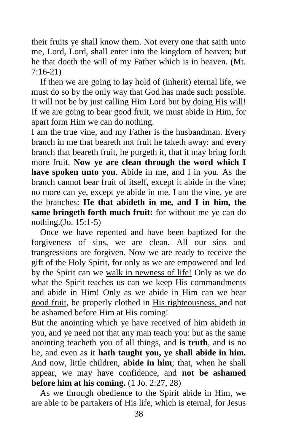their fruits ye shall know them. Not every one that saith unto me, Lord, Lord, shall enter into the kingdom of heaven; but he that doeth the will of my Father which is in heaven. (Mt. 7:16-21)

 If then we are going to lay hold of (inherit) eternal life, we must do so by the only way that God has made such possible. It will not be by just calling Him Lord but by doing His will! If we are going to bear good fruit, we must abide in Him, for apart form Him we can do nothing.

I am the true vine, and my Father is the husbandman. Every branch in me that beareth not fruit he taketh away: and every branch that beareth fruit, he purgeth it, that it may bring forth more fruit. **Now ye are clean through the word which I have spoken unto you**. Abide in me, and I in you. As the branch cannot bear fruit of itself, except it abide in the vine; no more can ye, except ye abide in me. I am the vine, ye are the branches: **He that abideth in me, and I in him, the same bringeth forth much fruit:** for without me ye can do nothing.(Jo. 15:1-5)

 Once we have repented and have been baptized for the forgiveness of sins, we are clean. All our sins and trangressions are forgiven. Now we are ready to receive the gift of the Holy Spirit, for only as we are empowered and led by the Spirit can we walk in newness of life! Only as we do what the Spirit teaches us can we keep His commandments and abide in Him! Only as we abide in Him can we bear good fruit, be properly clothed in His righteousness, and not be ashamed before Him at His coming!

But the anointing which ye have received of him abideth in you, and ye need not that any man teach you: but as the same anointing teacheth you of all things, and **is truth**, and is no lie, and even as it **hath taught you, ye shall abide in him.** And now, little children, **abide in him**; that, when he shall appear, we may have confidence, and **not be ashamed before him at his coming.** (1 Jo. 2:27, 28)

 As we through obedience to the Spirit abide in Him, we are able to be partakers of His life, which is eternal, for Jesus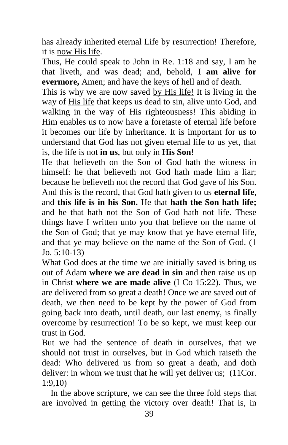has already inherited eternal Life by resurrection! Therefore, it is now His life.

Thus, He could speak to John in Re. 1:18 and say, I am he that liveth, and was dead; and, behold, **I am alive for evermore,** Amen; and have the keys of hell and of death.

This is why we are now saved by His life! It is living in the way of His life that keeps us dead to sin, alive unto God, and walking in the way of His righteousness! This abiding in Him enables us to now have a foretaste of eternal life before it becomes our life by inheritance. It is important for us to understand that God has not given eternal life to us yet, that is, the life is not **in us**, but only in **His Son**!

He that believeth on the Son of God hath the witness in himself: he that believeth not God hath made him a liar; because he believeth not the record that God gave of his Son. And this is the record, that God hath given to us **eternal life**, and **this life is in his Son.** He that **hath the Son hath life;** and he that hath not the Son of God hath not life. These things have I written unto you that believe on the name of the Son of God; that ye may know that ye have eternal life, and that ye may believe on the name of the Son of God. (1 Jo. 5:10-13)

What God does at the time we are initially saved is bring us out of Adam **where we are dead in sin** and then raise us up in Christ **where we are made alive** (I Co 15:22). Thus, we are delivered from so great a death! Once we are saved out of death, we then need to be kept by the power of God from going back into death, until death, our last enemy, is finally overcome by resurrection! To be so kept, we must keep our trust in God.

But we had the sentence of death in ourselves, that we should not trust in ourselves, but in God which raiseth the dead: Who delivered us from so great a death, and doth deliver: in whom we trust that he will yet deliver us; (11Cor. 1:9,10)

 In the above scripture, we can see the three fold steps that are involved in getting the victory over death! That is, in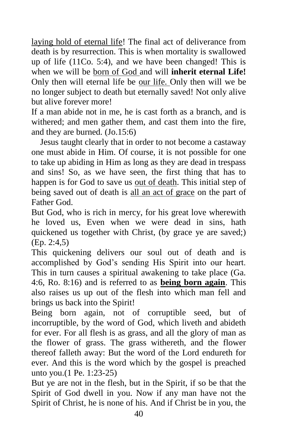laying hold of eternal life! The final act of deliverance from death is by resurrection. This is when mortality is swallowed up of life (11Co. 5:4), and we have been changed! This is when we will be born of God and will **inherit eternal Life!** Only then will eternal life be our life. Only then will we be no longer subject to death but eternally saved! Not only alive but alive forever more!

If a man abide not in me, he is cast forth as a branch, and is withered; and men gather them, and cast them into the fire, and they are burned. (Jo.15:6)

 Jesus taught clearly that in order to not become a castaway one must abide in Him. Of course, it is not possible for one to take up abiding in Him as long as they are dead in trespass and sins! So, as we have seen, the first thing that has to happen is for God to save us out of death. This initial step of being saved out of death is all an act of grace on the part of Father God.

But God, who is rich in mercy, for his great love wherewith he loved us, Even when we were dead in sins, hath quickened us together with Christ, (by grace ye are saved;) (Ep. 2:4,5)

This quickening delivers our soul out of death and is accomplished by God's sending His Spirit into our heart. This in turn causes a spiritual awakening to take place (Ga. 4:6, Ro. 8:16) and is referred to as **being born again**. This also raises us up out of the flesh into which man fell and brings us back into the Spirit!

Being born again, not of corruptible seed, but of incorruptible, by the word of God, which liveth and abideth for ever. For all flesh is as grass, and all the glory of man as the flower of grass. The grass withereth, and the flower thereof falleth away: But the word of the Lord endureth for ever. And this is the word which by the gospel is preached unto you.(1 Pe. 1:23-25)

But ye are not in the flesh, but in the Spirit, if so be that the Spirit of God dwell in you. Now if any man have not the Spirit of Christ, he is none of his. And if Christ be in you, the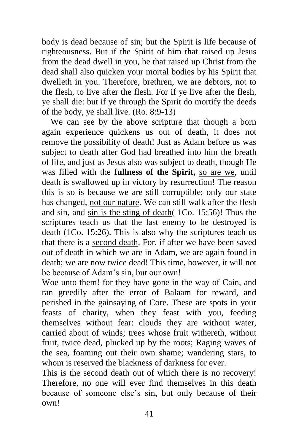body is dead because of sin; but the Spirit is life because of righteousness. But if the Spirit of him that raised up Jesus from the dead dwell in you, he that raised up Christ from the dead shall also quicken your mortal bodies by his Spirit that dwelleth in you. Therefore, brethren, we are debtors, not to the flesh, to live after the flesh. For if ye live after the flesh, ye shall die: but if ye through the Spirit do mortify the deeds of the body, ye shall live. (Ro. 8:9-13)

 We can see by the above scripture that though a born again experience quickens us out of death, it does not remove the possibility of death! Just as Adam before us was subject to death after God had breathed into him the breath of life, and just as Jesus also was subject to death, though He was filled with the **fullness of the Spirit**, so are we, until death is swallowed up in victory by resurrection! The reason this is so is because we are still corruptible; only our state has changed, not our nature. We can still walk after the flesh and sin, and sin is the sting of death( 1Co. 15:56)! Thus the scriptures teach us that the last enemy to be destroyed is death (1Co. 15:26). This is also why the scriptures teach us that there is a second death. For, if after we have been saved out of death in which we are in Adam, we are again found in death; we are now twice dead! This time, however, it will not be because of Adam's sin, but our own!

Woe unto them! for they have gone in the way of Cain, and ran greedily after the error of Balaam for reward, and perished in the gainsaying of Core. These are spots in your feasts of charity, when they feast with you, feeding themselves without fear: clouds they are without water, carried about of winds; trees whose fruit withereth, without fruit, twice dead, plucked up by the roots; Raging waves of the sea, foaming out their own shame; wandering stars, to whom is reserved the blackness of darkness for ever.

This is the second death out of which there is no recovery! Therefore, no one will ever find themselves in this death because of someone else's sin, but only because of their own!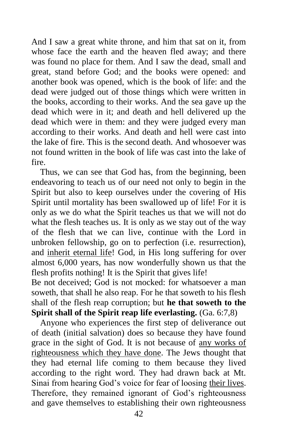And I saw a great white throne, and him that sat on it, from whose face the earth and the heaven fled away; and there was found no place for them. And I saw the dead, small and great, stand before God; and the books were opened: and another book was opened, which is the book of life: and the dead were judged out of those things which were written in the books, according to their works. And the sea gave up the dead which were in it; and death and hell delivered up the dead which were in them: and they were judged every man according to their works. And death and hell were cast into the lake of fire. This is the second death. And whosoever was not found written in the book of life was cast into the lake of fire.

 Thus, we can see that God has, from the beginning, been endeavoring to teach us of our need not only to begin in the Spirit but also to keep ourselves under the covering of His Spirit until mortality has been swallowed up of life! For it is only as we do what the Spirit teaches us that we will not do what the flesh teaches us. It is only as we stay out of the way of the flesh that we can live, continue with the Lord in unbroken fellowship, go on to perfection (i.e. resurrection), and inherit eternal life! God, in His long suffering for over almost 6,000 years, has now wonderfully shown us that the flesh profits nothing! It is the Spirit that gives life!

Be not deceived: God is not mocked: for whatsoever a man soweth, that shall he also reap. For he that soweth to his flesh shall of the flesh reap corruption; but **he that soweth to the Spirit shall of the Spirit reap life everlasting.** (Ga. 6:7,8)

 Anyone who experiences the first step of deliverance out of death (initial salvation) does so because they have found grace in the sight of God. It is not because of any works of righteousness which they have done. The Jews thought that they had eternal life coming to them because they lived according to the right word. They had drawn back at Mt. Sinai from hearing God's voice for fear of loosing their lives. Therefore, they remained ignorant of God's righteousness and gave themselves to establishing their own righteousness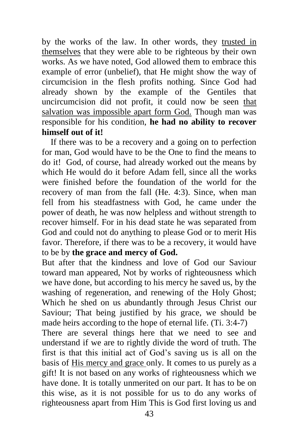by the works of the law. In other words, they trusted in themselves that they were able to be righteous by their own works. As we have noted, God allowed them to embrace this example of error (unbelief), that He might show the way of circumcision in the flesh profits nothing. Since God had already shown by the example of the Gentiles that uncircumcision did not profit, it could now be seen that salvation was impossible apart form God. Though man was responsible for his condition, **he had no ability to recover himself out of it!**

 If there was to be a recovery and a going on to perfection for man, God would have to be the One to find the means to do it! God, of course, had already worked out the means by which He would do it before Adam fell, since all the works were finished before the foundation of the world for the recovery of man from the fall (He. 4:3). Since, when man fell from his steadfastness with God, he came under the power of death, he was now helpless and without strength to recover himself. For in his dead state he was separated from God and could not do anything to please God or to merit His favor. Therefore, if there was to be a recovery, it would have to be by **the grace and mercy of God.**

But after that the kindness and love of God our Saviour toward man appeared, Not by works of righteousness which we have done, but according to his mercy he saved us, by the washing of regeneration, and renewing of the Holy Ghost; Which he shed on us abundantly through Jesus Christ our Saviour; That being justified by his grace, we should be made heirs according to the hope of eternal life. (Ti. 3:4-7)

There are several things here that we need to see and understand if we are to rightly divide the word of truth. The first is that this initial act of God's saving us is all on the basis of His mercy and grace only. It comes to us purely as a gift! It is not based on any works of righteousness which we have done. It is totally unmerited on our part. It has to be on this wise, as it is not possible for us to do any works of righteousness apart from Him This is God first loving us and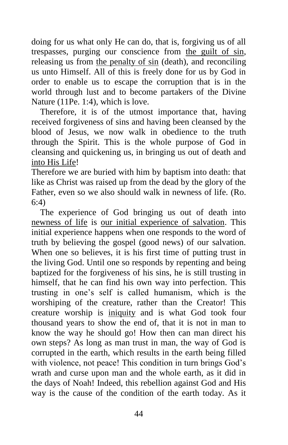doing for us what only He can do, that is, forgiving us of all trespasses, purging our conscience from the guilt of sin, releasing us from the penalty of sin (death), and reconciling us unto Himself. All of this is freely done for us by God in order to enable us to escape the corruption that is in the world through lust and to become partakers of the Divine Nature (11Pe. 1:4), which is love.

 Therefore, it is of the utmost importance that, having received forgiveness of sins and having been cleansed by the blood of Jesus, we now walk in obedience to the truth through the Spirit. This is the whole purpose of God in cleansing and quickening us, in bringing us out of death and into His Life!

Therefore we are buried with him by baptism into death: that like as Christ was raised up from the dead by the glory of the Father, even so we also should walk in newness of life. (Ro. 6:4)

 The experience of God bringing us out of death into newness of life is our initial experience of salvation. This initial experience happens when one responds to the word of truth by believing the gospel (good news) of our salvation. When one so believes, it is his first time of putting trust in the living God. Until one so responds by repenting and being baptized for the forgiveness of his sins, he is still trusting in himself, that he can find his own way into perfection. This trusting in one's self is called humanism, which is the worshiping of the creature, rather than the Creator! This creature worship is iniquity and is what God took four thousand years to show the end of, that it is not in man to know the way he should go! How then can man direct his own steps? As long as man trust in man, the way of God is corrupted in the earth, which results in the earth being filled with violence, not peace! This condition in turn brings God's wrath and curse upon man and the whole earth, as it did in the days of Noah! Indeed, this rebellion against God and His way is the cause of the condition of the earth today. As it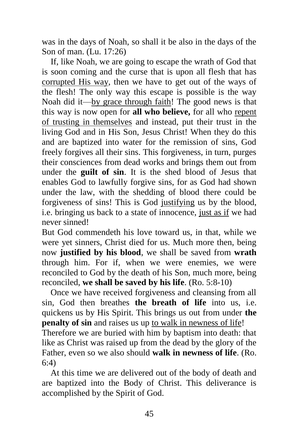was in the days of Noah, so shall it be also in the days of the Son of man. (Lu. 17:26)

 If, like Noah, we are going to escape the wrath of God that is soon coming and the curse that is upon all flesh that has corrupted His way, then we have to get out of the ways of the flesh! The only way this escape is possible is the way Noah did it—by grace through faith! The good news is that this way is now open for **all who believe,** for all who repent of trusting in themselves and instead, put their trust in the living God and in His Son, Jesus Christ! When they do this and are baptized into water for the remission of sins, God freely forgives all their sins. This forgiveness, in turn, purges their consciences from dead works and brings them out from under the **guilt of sin**. It is the shed blood of Jesus that enables God to lawfully forgive sins, for as God had shown under the law, with the shedding of blood there could be forgiveness of sins! This is God justifying us by the blood, i.e. bringing us back to a state of innocence, just as if we had never sinned!

But God commendeth his love toward us, in that, while we were yet sinners, Christ died for us. Much more then, being now **justified by his blood**, we shall be saved from **wrath** through him. For if, when we were enemies, we were reconciled to God by the death of his Son, much more, being reconciled, **we shall be saved by his life**. (Ro. 5:8-10)

 Once we have received forgiveness and cleansing from all sin, God then breathes **the breath of life** into us, i.e. quickens us by His Spirit. This brings us out from under **the penalty of sin** and raises us up to walk in newness of life!

Therefore we are buried with him by baptism into death: that like as Christ was raised up from the dead by the glory of the Father, even so we also should **walk in newness of life**. (Ro. 6:4)

 At this time we are delivered out of the body of death and are baptized into the Body of Christ. This deliverance is accomplished by the Spirit of God.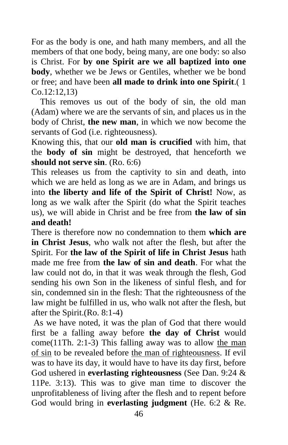For as the body is one, and hath many members, and all the members of that one body, being many, are one body: so also is Christ. For **by one Spirit are we all baptized into one body**, whether we be Jews or Gentiles, whether we be bond or free; and have been **all made to drink into one Spirit**.( 1 Co.12:12,13)

 This removes us out of the body of sin, the old man (Adam) where we are the servants of sin, and places us in the body of Christ, **the new man**, in which we now become the servants of God (i.e. righteousness).

Knowing this, that our **old man is crucified** with him, that the **body of sin** might be destroyed, that henceforth we **should not serve sin**. (Ro. 6:6)

This releases us from the captivity to sin and death, into which we are held as long as we are in Adam, and brings us into **the liberty and life of the Spirit of Christ!** Now, as long as we walk after the Spirit (do what the Spirit teaches us), we will abide in Christ and be free from **the law of sin and death!**

There is therefore now no condemnation to them **which are in Christ Jesus**, who walk not after the flesh, but after the Spirit. For **the law of the Spirit of life in Christ Jesus** hath made me free from **the law of sin and death**. For what the law could not do, in that it was weak through the flesh, God sending his own Son in the likeness of sinful flesh, and for sin, condemned sin in the flesh: That the righteousness of the law might be fulfilled in us, who walk not after the flesh, but after the Spirit.(Ro. 8:1-4)

As we have noted, it was the plan of God that there would first be a falling away before **the day of Christ** would come(11Th. 2:1-3) This falling away was to allow the man of sin to be revealed before the man of righteousness. If evil was to have its day, it would have to have its day first, before God ushered in **everlasting righteousness** (See Dan. 9:24 & 11Pe. 3:13). This was to give man time to discover the unprofitableness of living after the flesh and to repent before God would bring in **everlasting judgment** (He. 6:2 & Re.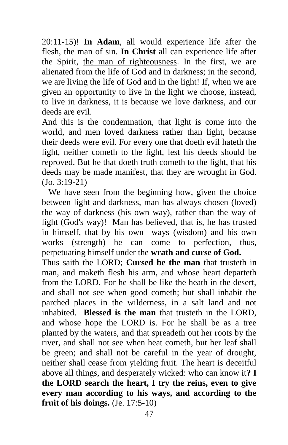20:11-15)! **In Adam**, all would experience life after the flesh, the man of sin. **In Christ** all can experience life after the Spirit, the man of righteousness. In the first, we are alienated from the life of God and in darkness; in the second, we are living the life of God and in the light! If, when we are given an opportunity to live in the light we choose, instead, to live in darkness, it is because we love darkness, and our deeds are evil.

And this is the condemnation, that light is come into the world, and men loved darkness rather than light, because their deeds were evil. For every one that doeth evil hateth the light, neither cometh to the light, lest his deeds should be reproved. But he that doeth truth cometh to the light, that his deeds may be made manifest, that they are wrought in God. (Jo. 3:19-21)

 We have seen from the beginning how, given the choice between light and darkness, man has always chosen (loved) the way of darkness (his own way), rather than the way of light (God's way)! Man has believed, that is, he has trusted in himself, that by his own ways (wisdom) and his own works (strength) he can come to perfection, thus, perpetuating himself under the **wrath and curse of God.** Thus saith the LORD; **Cursed be the man** that trusteth in man, and maketh flesh his arm, and whose heart departeth from the LORD. For he shall be like the heath in the desert, and shall not see when good cometh; but shall inhabit the parched places in the wilderness, in a salt land and not inhabited. **Blessed is the man** that trusteth in the LORD, and whose hope the LORD is. For he shall be as a tree planted by the waters, and that spreadeth out her roots by the river, and shall not see when heat cometh, but her leaf shall be green; and shall not be careful in the year of drought, neither shall cease from yielding fruit. The heart is deceitful above all things, and desperately wicked: who can know it**? I the LORD search the heart, I try the reins, even to give every man according to his ways, and according to the fruit of his doings.** (Je. 17:5-10)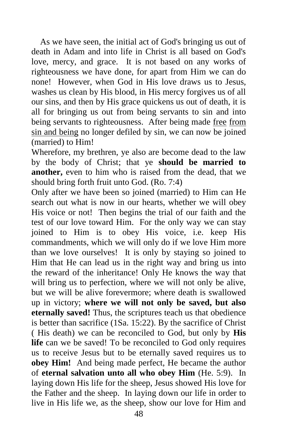As we have seen, the initial act of God's bringing us out of death in Adam and into life in Christ is all based on God's love, mercy, and grace. It is not based on any works of righteousness we have done, for apart from Him we can do none! However, when God in His love draws us to Jesus, washes us clean by His blood, in His mercy forgives us of all our sins, and then by His grace quickens us out of death, it is all for bringing us out from being servants to sin and into being servants to righteousness. After being made free from sin and being no longer defiled by sin, we can now be joined (married) to Him!

Wherefore, my brethren, ye also are become dead to the law by the body of Christ; that ye **should be married to another,** even to him who is raised from the dead, that we should bring forth fruit unto God. (Ro. 7:4)

Only after we have been so joined (married) to Him can He search out what is now in our hearts, whether we will obey His voice or not! Then begins the trial of our faith and the test of our love toward Him. For the only way we can stay joined to Him is to obey His voice, i.e. keep His commandments, which we will only do if we love Him more than we love ourselves! It is only by staying so joined to Him that He can lead us in the right way and bring us into the reward of the inheritance! Only He knows the way that will bring us to perfection, where we will not only be alive, but we will be alive forevermore; where death is swallowed up in victory; **where we will not only be saved, but also eternally saved!** Thus, the scriptures teach us that obedience is better than sacrifice (1Sa. 15:22). By the sacrifice of Christ ( His death) we can be reconciled to God, but only by **His life** can we be saved! To be reconciled to God only requires us to receive Jesus but to be eternally saved requires us to **obey Him!** And being made perfect, He became the author of **eternal salvation unto all who obey Him** (He. 5:9). In laying down His life for the sheep, Jesus showed His love for the Father and the sheep. In laying down our life in order to live in His life we, as the sheep, show our love for Him and